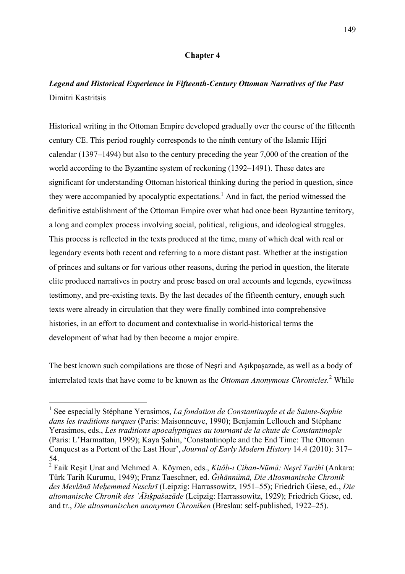## **Chapter 4**

## *Legend and Historical Experience in Fifteenth-Century Ottoman Narratives of the Past* Dimitri Kastritsis

Historical writing in the Ottoman Empire developed gradually over the course of the fifteenth century CE. This period roughly corresponds to the ninth century of the Islamic Hijri calendar (1397–1494) but also to the century preceding the year 7,000 of the creation of the world according to the Byzantine system of reckoning (1392–1491). These dates are significant for understanding Ottoman historical thinking during the period in question, since they were accompanied by apocalyptic expectations.<sup>1</sup> And in fact, the period witnessed the definitive establishment of the Ottoman Empire over what had once been Byzantine territory, a long and complex process involving social, political, religious, and ideological struggles. This process is reflected in the texts produced at the time, many of which deal with real or legendary events both recent and referring to a more distant past. Whether at the instigation of princes and sultans or for various other reasons, during the period in question, the literate elite produced narratives in poetry and prose based on oral accounts and legends, eyewitness testimony, and pre-existing texts. By the last decades of the fifteenth century, enough such texts were already in circulation that they were finally combined into comprehensive histories, in an effort to document and contextualise in world-historical terms the development of what had by then become a major empire.

The best known such compilations are those of Neşri and Aşıkpaşazade, as well as a body of interrelated texts that have come to be known as the *Ottoman Anonymous Chronicles.*<sup>2</sup> While

<sup>1</sup> See especially Stéphane Yerasimos, *La fondation de Constantinople et de Sainte-Sophie dans les traditions turques* (Paris: Maisonneuve, 1990); Benjamin Lellouch and Stéphane Yerasimos, eds., *Les traditions apocalyptiques au tournant de la chute de Constantinople* (Paris: L'Harmattan, 1999); Kaya Şahin, 'Constantinople and the End Time: The Ottoman Conquest as a Portent of the Last Hour', *Journal of Early Modern History* 14.4 (2010): 317– 54.

<sup>2</sup> Faik Reşit Unat and Mehmed A. Köymen, eds., *Kitâb-ı Cihan-Nümâ: Neşrî Tarihi* (Ankara: Türk Tarih Kurumu, 1949); Franz Taeschner, ed. *Ǧihānnümā, Die Altosmanische Chronik des Mevlānā Meḥemmed Neschrī* (Leipzig: Harrassowitz, 1951–55); Friedrich Giese, ed., *Die altomanische Chronik des ʿĀšıḳpašazāde* (Leipzig: Harrassowitz, 1929); Friedrich Giese, ed. and tr., *Die altosmanischen anonymen Chroniken* (Breslau: self-published, 1922–25).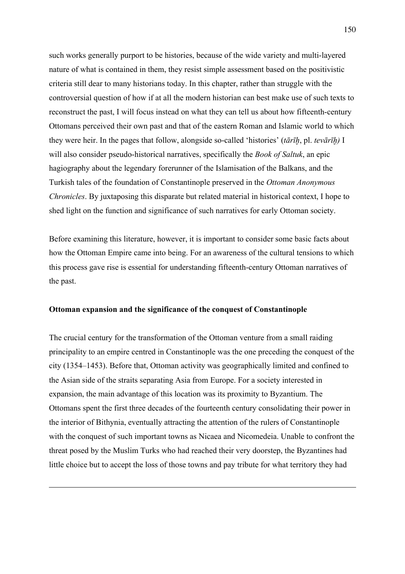such works generally purport to be histories, because of the wide variety and multi-layered nature of what is contained in them, they resist simple assessment based on the positivistic criteria still dear to many historians today. In this chapter, rather than struggle with the controversial question of how if at all the modern historian can best make use of such texts to reconstruct the past, I will focus instead on what they can tell us about how fifteenth-century Ottomans perceived their own past and that of the eastern Roman and Islamic world to which they were heir. In the pages that follow, alongside so-called 'histories' (*tārīḫ*, pl. *tevārīḫ)* I will also consider pseudo-historical narratives, specifically the *Book of Saltuk*, an epic hagiography about the legendary forerunner of the Islamisation of the Balkans, and the Turkish tales of the foundation of Constantinople preserved in the *Ottoman Anonymous Chronicles*. By juxtaposing this disparate but related material in historical context, I hope to shed light on the function and significance of such narratives for early Ottoman society.

Before examining this literature, however, it is important to consider some basic facts about how the Ottoman Empire came into being. For an awareness of the cultural tensions to which this process gave rise is essential for understanding fifteenth-century Ottoman narratives of the past.

## **Ottoman expansion and the significance of the conquest of Constantinople**

 $\overline{a}$ 

The crucial century for the transformation of the Ottoman venture from a small raiding principality to an empire centred in Constantinople was the one preceding the conquest of the city (1354–1453). Before that, Ottoman activity was geographically limited and confined to the Asian side of the straits separating Asia from Europe. For a society interested in expansion, the main advantage of this location was its proximity to Byzantium. The Ottomans spent the first three decades of the fourteenth century consolidating their power in the interior of Bithynia, eventually attracting the attention of the rulers of Constantinople with the conquest of such important towns as Nicaea and Nicomedeia. Unable to confront the threat posed by the Muslim Turks who had reached their very doorstep, the Byzantines had little choice but to accept the loss of those towns and pay tribute for what territory they had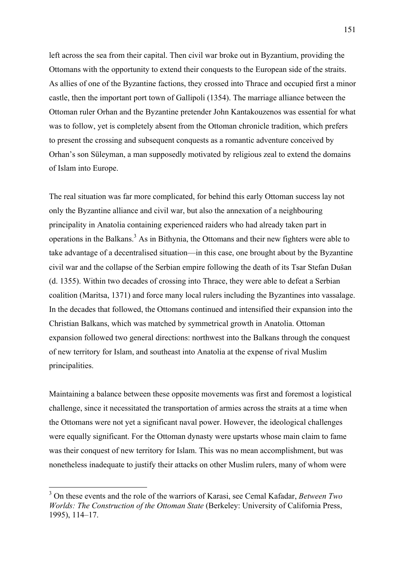left across the sea from their capital. Then civil war broke out in Byzantium, providing the Ottomans with the opportunity to extend their conquests to the European side of the straits. As allies of one of the Byzantine factions, they crossed into Thrace and occupied first a minor castle, then the important port town of Gallipoli (1354). The marriage alliance between the Ottoman ruler Orhan and the Byzantine pretender John Kantakouzenos was essential for what was to follow, yet is completely absent from the Ottoman chronicle tradition, which prefers to present the crossing and subsequent conquests as a romantic adventure conceived by Orhan's son Süleyman, a man supposedly motivated by religious zeal to extend the domains of Islam into Europe.

The real situation was far more complicated, for behind this early Ottoman success lay not only the Byzantine alliance and civil war, but also the annexation of a neighbouring principality in Anatolia containing experienced raiders who had already taken part in operations in the Balkans.<sup>3</sup> As in Bithynia, the Ottomans and their new fighters were able to take advantage of a decentralised situation—in this case, one brought about by the Byzantine civil war and the collapse of the Serbian empire following the death of its Tsar Stefan Dušan (d. 1355). Within two decades of crossing into Thrace, they were able to defeat a Serbian coalition (Maritsa, 1371) and force many local rulers including the Byzantines into vassalage. In the decades that followed, the Ottomans continued and intensified their expansion into the Christian Balkans, which was matched by symmetrical growth in Anatolia. Ottoman expansion followed two general directions: northwest into the Balkans through the conquest of new territory for Islam, and southeast into Anatolia at the expense of rival Muslim principalities.

Maintaining a balance between these opposite movements was first and foremost a logistical challenge, since it necessitated the transportation of armies across the straits at a time when the Ottomans were not yet a significant naval power. However, the ideological challenges were equally significant. For the Ottoman dynasty were upstarts whose main claim to fame was their conquest of new territory for Islam. This was no mean accomplishment, but was nonetheless inadequate to justify their attacks on other Muslim rulers, many of whom were

<sup>3</sup> On these events and the role of the warriors of Karasi, see Cemal Kafadar, *Between Two Worlds: The Construction of the Ottoman State (Berkeley: University of California Press, North* 1995), 114–17.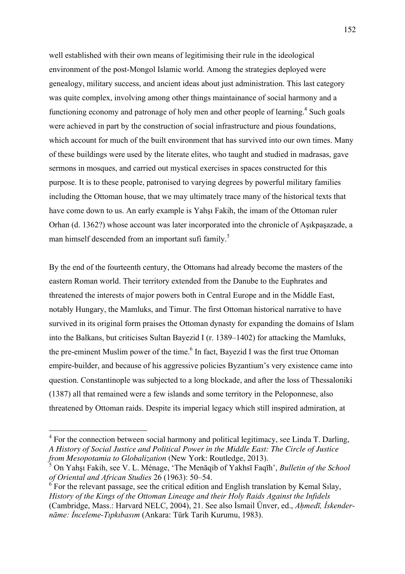well established with their own means of legitimising their rule in the ideological environment of the post-Mongol Islamic world. Among the strategies deployed were genealogy, military success, and ancient ideas about just administration. This last category was quite complex, involving among other things maintainance of social harmony and a functioning economy and patronage of holy men and other people of learning.<sup>4</sup> Such goals were achieved in part by the construction of social infrastructure and pious foundations, which account for much of the built environment that has survived into our own times. Many of these buildings were used by the literate elites, who taught and studied in madrasas, gave sermons in mosques, and carried out mystical exercises in spaces constructed for this purpose. It is to these people, patronised to varying degrees by powerful military families including the Ottoman house, that we may ultimately trace many of the historical texts that have come down to us. An early example is Yahşı Fakih, the imam of the Ottoman ruler Orhan (d. 1362?) whose account was later incorporated into the chronicle of Aşıkpaşazade, a man himself descended from an important sufi family.<sup>5</sup>

By the end of the fourteenth century, the Ottomans had already become the masters of the eastern Roman world. Their territory extended from the Danube to the Euphrates and threatened the interests of major powers both in Central Europe and in the Middle East, notably Hungary, the Mamluks, and Timur. The first Ottoman historical narrative to have survived in its original form praises the Ottoman dynasty for expanding the domains of Islam into the Balkans, but criticises Sultan Bayezid I (r. 1389–1402) for attacking the Mamluks, the pre-eminent Muslim power of the time.<sup>6</sup> In fact, Bayezid I was the first true Ottoman empire-builder, and because of his aggressive policies Byzantium's very existence came into question. Constantinople was subjected to a long blockade, and after the loss of Thessaloniki (1387) all that remained were a few islands and some territory in the Peloponnese, also threatened by Ottoman raids. Despite its imperial legacy which still inspired admiration, at

 $4$  For the connection between social harmony and political legitimacy, see Linda T. Darling, *A History of Social Justice and Political Power in the Middle East: The Circle of Justice from Mesopotamia to Globalization* (New York: Routledge, 2013).

<sup>5</sup> On Yahşı Fakih, see V. L. Ménage, 'The Menāqib of Yakhsī Faqīh', *Bulletin of the School of Oriental and African Studies* 26 (1963): 50–54.

 $\delta$  For the relevant passage, see the critical edition and English translation by Kemal Silay, *History of the Kings of the Ottoman Lineage and their Holy Raids Against the Infidels* (Cambridge, Mass.: Harvard NELC, 2004), 21. See also İsmail Ünver, ed., *Aḥmedī, İskendernāme: İnceleme-Tıpkıbasım* (Ankara: Türk Tarih Kurumu, 1983).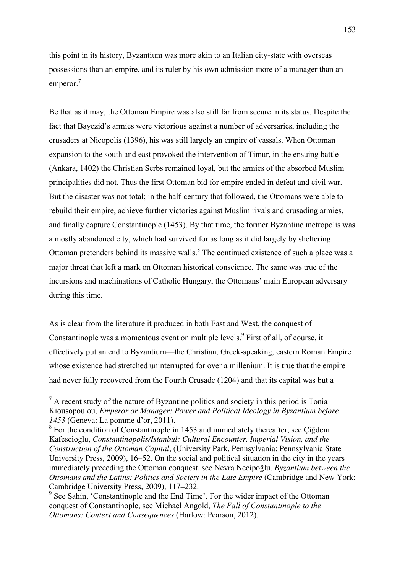this point in its history, Byzantium was more akin to an Italian city-state with overseas possessions than an empire, and its ruler by his own admission more of a manager than an emperor.<sup>7</sup>

Be that as it may, the Ottoman Empire was also still far from secure in its status. Despite the fact that Bayezid's armies were victorious against a number of adversaries, including the crusaders at Nicopolis (1396), his was still largely an empire of vassals. When Ottoman expansion to the south and east provoked the intervention of Timur, in the ensuing battle (Ankara, 1402) the Christian Serbs remained loyal, but the armies of the absorbed Muslim principalities did not. Thus the first Ottoman bid for empire ended in defeat and civil war. But the disaster was not total; in the half-century that followed, the Ottomans were able to rebuild their empire, achieve further victories against Muslim rivals and crusading armies, and finally capture Constantinople (1453). By that time, the former Byzantine metropolis was a mostly abandoned city, which had survived for as long as it did largely by sheltering Ottoman pretenders behind its massive walls.<sup>8</sup> The continued existence of such a place was a major threat that left a mark on Ottoman historical conscience. The same was true of the incursions and machinations of Catholic Hungary, the Ottomans' main European adversary during this time.

As is clear from the literature it produced in both East and West, the conquest of Constantinople was a momentous event on multiple levels.<sup>9</sup> First of all, of course, it effectively put an end to Byzantium—the Christian, Greek-speaking, eastern Roman Empire whose existence had stretched uninterrupted for over a millenium. It is true that the empire had never fully recovered from the Fourth Crusade (1204) and that its capital was but a

 $<sup>7</sup>$  A recent study of the nature of Byzantine politics and society in this period is Tonia</sup> Kiousopoulou, *Emperor or Manager: Power and Political Ideology in Byzantium before 1453* (Geneva: La pomme d'or, 2011).

<sup>&</sup>lt;sup>8</sup> For the condition of Constantinople in 1453 and immediately thereafter, see Cigdem Kafescioğlu, *Constantinopolis/Istanbul: Cultural Encounter, Imperial Vision, and the Construction of the Ottoman Capital*, (University Park, Pennsylvania: Pennsylvania State University Press, 2009), 16–52. On the social and political situation in the city in the years immediately preceding the Ottoman conquest, see Nevra Necipoğlu*, Byzantium between the Ottomans and the Latins: Politics and Society in the Late Empire* (Cambridge and New York: Cambridge University Press, 2009), 117–232.

<sup>&</sup>lt;sup>9</sup> See Şahin, 'Constantinople and the End Time'. For the wider impact of the Ottoman conquest of Constantinople, see Michael Angold, *The Fall of Constantinople to the Ottomans: Context and Consequences* (Harlow: Pearson, 2012).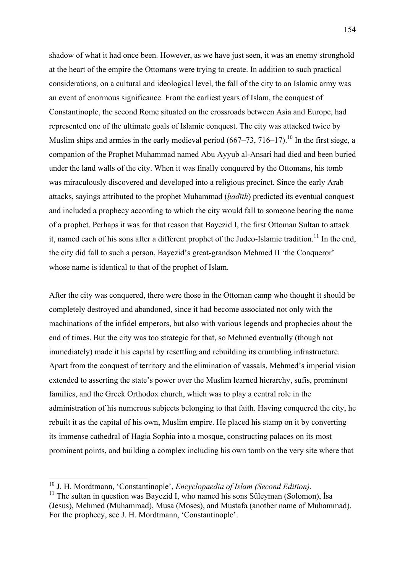shadow of what it had once been. However, as we have just seen, it was an enemy stronghold at the heart of the empire the Ottomans were trying to create. In addition to such practical considerations, on a cultural and ideological level, the fall of the city to an Islamic army was an event of enormous significance. From the earliest years of Islam, the conquest of Constantinople, the second Rome situated on the crossroads between Asia and Europe, had represented one of the ultimate goals of Islamic conquest. The city was attacked twice by Muslim ships and armies in the early medieval period  $(667–73, 716–17)$ .<sup>10</sup> In the first siege, a companion of the Prophet Muhammad named Abu Ayyub al-Ansari had died and been buried under the land walls of the city. When it was finally conquered by the Ottomans, his tomb was miraculously discovered and developed into a religious precinct. Since the early Arab attacks, sayings attributed to the prophet Muhammad (*ḥadīth*) predicted its eventual conquest and included a prophecy according to which the city would fall to someone bearing the name of a prophet. Perhaps it was for that reason that Bayezid I, the first Ottoman Sultan to attack it, named each of his sons after a different prophet of the Judeo-Islamic tradition.<sup>11</sup> In the end, the city did fall to such a person, Bayezid's great-grandson Mehmed II 'the Conqueror' whose name is identical to that of the prophet of Islam.

After the city was conquered, there were those in the Ottoman camp who thought it should be completely destroyed and abandoned, since it had become associated not only with the machinations of the infidel emperors, but also with various legends and prophecies about the end of times. But the city was too strategic for that, so Mehmed eventually (though not immediately) made it his capital by resettling and rebuilding its crumbling infrastructure. Apart from the conquest of territory and the elimination of vassals, Mehmed's imperial vision extended to asserting the state's power over the Muslim learned hierarchy, sufis, prominent families, and the Greek Orthodox church, which was to play a central role in the administration of his numerous subjects belonging to that faith. Having conquered the city, he rebuilt it as the capital of his own, Muslim empire. He placed his stamp on it by converting its immense cathedral of Hagia Sophia into a mosque, constructing palaces on its most prominent points, and building a complex including his own tomb on the very site where that

<sup>&</sup>lt;sup>10</sup> J. H. Mordtmann, 'Constantinople', *Encyclopaedia of Islam (Second Edition)*.<br><sup>11</sup> The sultan in question was Bayezid I, who named his sons Süleyman (Solomon), İsa

<sup>(</sup>Jesus), Mehmed (Muhammad), Musa (Moses), and Mustafa (another name of Muhammad). For the prophecy, see J. H. Mordtmann, 'Constantinople'.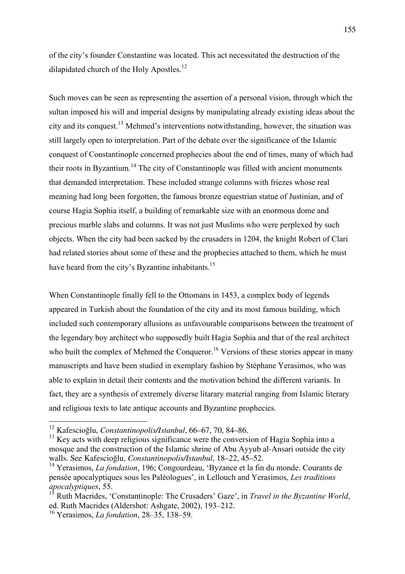of the city's founder Constantine was located. This act necessitated the destruction of the dilapidated church of the Holy Apostles.<sup>12</sup>

Such moves can be seen as representing the assertion of a personal vision, through which the sultan imposed his will and imperial designs by manipulating already existing ideas about the city and its conquest. <sup>13</sup> Mehmed's interventions notwithstanding, however, the situation was still largely open to interpretation. Part of the debate over the significance of the Islamic conquest of Constantinople concerned prophecies about the end of times, many of which had their roots in Byzantium.<sup>14</sup> The city of Constantinople was filled with ancient monuments that demanded interpretation. These included strange columns with friezes whose real meaning had long been forgotten, the famous bronze equestrian statue of Justinian, and of course Hagia Sophia itself, a building of remarkable size with an enormous dome and precious marble slabs and columns. It was not just Muslims who were perplexed by such objects. When the city had been sacked by the crusaders in 1204, the knight Robert of Clari had related stories about some of these and the prophecies attached to them, which he must have heard from the city's Byzantine inhabitants.<sup>15</sup>

When Constantinople finally fell to the Ottomans in 1453, a complex body of legends appeared in Turkish about the foundation of the city and its most famous building, which included such contemporary allusions as unfavourable comparisons between the treatment of the legendary boy architect who supposedly built Hagia Sophia and that of the real architect who built the complex of Mehmed the Conqueror.<sup>16</sup> Versions of these stories appear in many manuscripts and have been studied in exemplary fashion by Stéphane Yerasimos, who was able to explain in detail their contents and the motivation behind the different variants. In fact, they are a synthesis of extremely diverse litarary material ranging from Islamic literary and religious texts to late antique accounts and Byzantine prophecies.

<sup>12</sup> Kafescioğlu, *Constantinopolis/Istanbul*, 66–67, 70, 84–86.

 $13$  Key acts with deep religious significance were the conversion of Hagia Sophia into a mosque and the construction of the Islamic shrine of Abu Ayyub al-Ansari outside the city walls. See Kafescioğlu, *Constantinopolis/Istanbul*, 18–22, 45–52.

<sup>14</sup> Yerasimos, *La fondation*, 196; Congourdeau, 'Byzance et la fin du monde. Courants de pensée apocalyptiques sous les Paléologues', in Lellouch and Yerasimos, *Les traditions apocalyptiques*, 55.

<sup>15</sup> Ruth Macrides, 'Constantinople: The Crusaders' Gaze', in *Travel in the Byzantine World*, ed. Ruth Macrides (Aldershot: Ashgate, 2002), 193–212.

<sup>16</sup> Yerasimos, *La fondation*, 28–35, 138–59.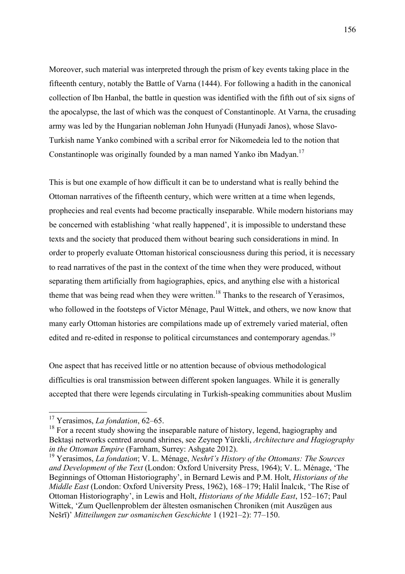Moreover, such material was interpreted through the prism of key events taking place in the fifteenth century, notably the Battle of Varna (1444). For following a hadith in the canonical collection of Ibn Hanbal, the battle in question was identified with the fifth out of six signs of the apocalypse, the last of which was the conquest of Constantinople. At Varna, the crusading army was led by the Hungarian nobleman John Hunyadi (Hunyadi Janos), whose Slavo-Turkish name Yanko combined with a scribal error for Nikomedeia led to the notion that Constantinople was originally founded by a man named Yanko ibn Madyan.<sup>17</sup>

This is but one example of how difficult it can be to understand what is really behind the Ottoman narratives of the fifteenth century, which were written at a time when legends, prophecies and real events had become practically inseparable. While modern historians may be concerned with establishing 'what really happened', it is impossible to understand these texts and the society that produced them without bearing such considerations in mind. In order to properly evaluate Ottoman historical consciousness during this period, it is necessary to read narratives of the past in the context of the time when they were produced, without separating them artificially from hagiographies, epics, and anything else with a historical theme that was being read when they were written.<sup>18</sup> Thanks to the research of Yerasimos, who followed in the footsteps of Victor Ménage, Paul Wittek, and others, we now know that many early Ottoman histories are compilations made up of extremely varied material, often edited and re-edited in response to political circumstances and contemporary agendas.<sup>19</sup>

One aspect that has received little or no attention because of obvious methodological difficulties is oral transmission between different spoken languages. While it is generally accepted that there were legends circulating in Turkish-speaking communities about Muslim

<sup>17</sup> Yerasimos, *La fondation*, 62–65.

 $18$  For a recent study showing the inseparable nature of history, legend, hagiography and Bektaşi networks centred around shrines, see Zeynep Yürekli, *Architecture and Hagiography in the Ottoman Empire* (Farnham, Surrey: Ashgate 2012).

<sup>19</sup> Yerasimos, *La fondation*; V. L. Ménage, *Neshrī's History of the Ottomans: The Sources and Development of the Text* (London: Oxford University Press, 1964); V. L. Ménage, 'The Beginnings of Ottoman Historiography', in Bernard Lewis and P.M. Holt, *Historians of the Middle East* (London: Oxford University Press, 1962), 168–179; Halil İnalcık, 'The Rise of Ottoman Historiography', in Lewis and Holt, *Historians of the Middle East*, 152–167; Paul Wittek, 'Zum Quellenproblem der ältesten osmanischen Chroniken (mit Auszügen aus Nešrī)' *Mitteilungen zur osmanischen Geschichte* 1 (1921–2): 77–150.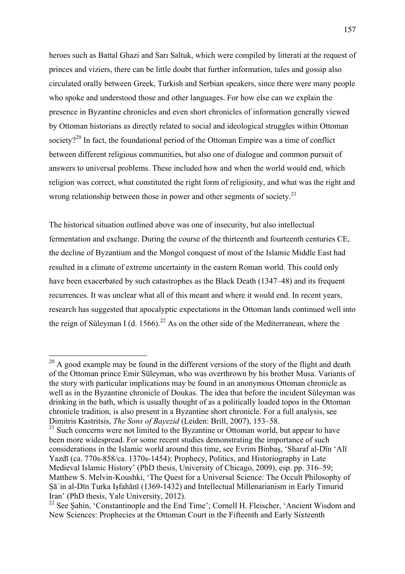heroes such as Battal Ghazi and Sarı Saltuk, which were compiled by litterati at the request of princes and viziers, there can be little doubt that further information, tales and gossip also circulated orally between Greek, Turkish and Serbian speakers, since there were many people who spoke and understood those and other languages. For how else can we explain the presence in Byzantine chronicles and even short chronicles of information generally viewed by Ottoman historians as directly related to social and ideological struggles within Ottoman society? $^{20}$  In fact, the foundational period of the Ottoman Empire was a time of conflict between different religious communities, but also one of dialogue and common pursuit of answers to universal problems. These included how and when the world would end, which religion was correct, what constituted the right form of religiosity, and what was the right and wrong relationship between those in power and other segments of society.<sup>21</sup>

The historical situation outlined above was one of insecurity, but also intellectual fermentation and exchange. During the course of the thirteenth and fourteenth centuries CE, the decline of Byzantium and the Mongol conquest of most of the Islamic Middle East had resulted in a climate of extreme uncertainty in the eastern Roman world. This could only have been exacerbated by such catastrophes as the Black Death (1347–48) and its frequent recurrences. It was unclear what all of this meant and where it would end. In recent years, research has suggested that apocalyptic expectations in the Ottoman lands continued well into the reign of Süleyman I (d. 1566).<sup>22</sup> As on the other side of the Mediterranean, where the

 $20$  A good example may be found in the different versions of the story of the flight and death of the Ottoman prince Emir Süleyman, who was overthrown by his brother Musa. Variants of the story with particular implications may be found in an anonymous Ottoman chronicle as well as in the Byzantine chronicle of Doukas. The idea that before the incident Süleyman was drinking in the bath, which is usually thought of as a politically loaded topos in the Ottoman chronicle tradition, is also present in a Byzantine short chronicle. For a full analysis, see Dimitris Kastritsis, *The Sons of Bayezid* (Leiden: Brill, 2007), 153–58.

 $21$  Such concerns were not limited to the Byzantine or Ottoman world, but appear to have been more widespread. For some recent studies demonstrating the importance of such considerations in the Islamic world around this time, see Evrim Binbaş, 'Sharaf al-Dīn 'Alī Yazdī (ca. 770s-858/ca. 1370s-1454): Prophecy, Politics, and Historiography in Late Medieval Islamic History' (PhD thesis, University of Chicago, 2009), esp. pp. 316–59; Matthew S. Melvin-Koushki, 'The Quest for a Universal Science: The Occult Philosophy of Ṣāʾin al-Dīn Turka Iṣfahānī (1369-1432) and Intellectual Millenarianism in Early Timurid Iran' (PhD thesis, Yale University, 2012).

<sup>&</sup>lt;sup>22</sup> See Sahin, 'Constantinople and the End Time'; Cornell H. Fleischer, 'Ancient Wisdom and New Sciences: Prophecies at the Ottoman Court in the Fifteenth and Early Sixteenth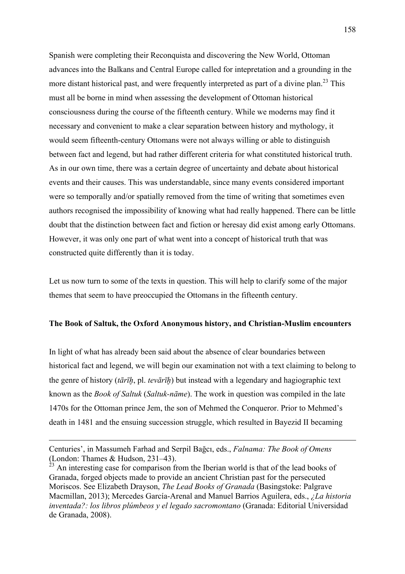Spanish were completing their Reconquista and discovering the New World, Ottoman advances into the Balkans and Central Europe called for intepretation and a grounding in the more distant historical past, and were frequently interpreted as part of a divine plan.<sup>23</sup> This must all be borne in mind when assessing the development of Ottoman historical consciousness during the course of the fifteenth century. While we moderns may find it necessary and convenient to make a clear separation between history and mythology, it would seem fifteenth-century Ottomans were not always willing or able to distinguish between fact and legend, but had rather different criteria for what constituted historical truth. As in our own time, there was a certain degree of uncertainty and debate about historical events and their causes. This was understandable, since many events considered important were so temporally and/or spatially removed from the time of writing that sometimes even authors recognised the impossibility of knowing what had really happened. There can be little doubt that the distinction between fact and fiction or heresay did exist among early Ottomans. However, it was only one part of what went into a concept of historical truth that was constructed quite differently than it is today.

Let us now turn to some of the texts in question. This will help to clarify some of the major themes that seem to have preoccupied the Ottomans in the fifteenth century.

## **The Book of Saltuk, the Oxford Anonymous history, and Christian-Muslim encounters**

In light of what has already been said about the absence of clear boundaries between historical fact and legend, we will begin our examination not with a text claiming to belong to the genre of history (*tārīḫ*, pl. *tevārīḫ*) but instead with a legendary and hagiographic text known as the *Book of Saltuk* (*Saltuk-nāme*). The work in question was compiled in the late 1470s for the Ottoman prince Jem, the son of Mehmed the Conqueror. Prior to Mehmed's death in 1481 and the ensuing succession struggle, which resulted in Bayezid II becaming

 $\overline{a}$ 

Centuries', in Massumeh Farhad and Serpil Bağcı, eds., *Falnama: The Book of Omens* (London: Thames & Hudson, 231–43). <sup>23</sup> An interesting case for comparison from the Iberian world is that of the lead books of

Granada, forged objects made to provide an ancient Christian past for the persecuted Moriscos. See Elizabeth Drayson, *The Lead Books of Granada* (Basingstoke: Palgrave Macmillan, 2013); Mercedes García-Arenal and Manuel Barrios Aguilera, eds., *¿La historia inventada?: los libros plúmbeos y el legado sacromontano* (Granada: Editorial Universidad de Granada, 2008).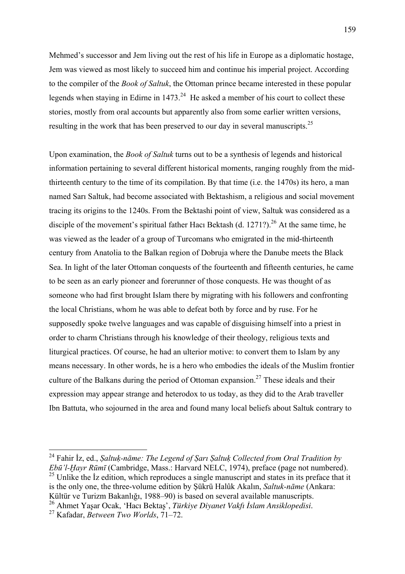Mehmed's successor and Jem living out the rest of his life in Europe as a diplomatic hostage, Jem was viewed as most likely to succeed him and continue his imperial project. According to the compiler of the *Book of Saltuk*, the Ottoman prince became interested in these popular legends when staying in Edirne in  $1473<sup>24</sup>$  He asked a member of his court to collect these stories, mostly from oral accounts but apparently also from some earlier written versions, resulting in the work that has been preserved to our day in several manuscripts.<sup>25</sup>

Upon examination, the *Book of Saltuk* turns out to be a synthesis of legends and historical information pertaining to several different historical moments, ranging roughly from the midthirteenth century to the time of its compilation. By that time (i.e. the 1470s) its hero, a man named Sarı Saltuk, had become associated with Bektashism, a religious and social movement tracing its origins to the 1240s. From the Bektashi point of view, Saltuk was considered as a disciple of the movement's spiritual father Hacı Bektash (d. 1271?).<sup>26</sup> At the same time, he was viewed as the leader of a group of Turcomans who emigrated in the mid-thirteenth century from Anatolia to the Balkan region of Dobruja where the Danube meets the Black Sea. In light of the later Ottoman conquests of the fourteenth and fifteenth centuries, he came to be seen as an early pioneer and forerunner of those conquests. He was thought of as someone who had first brought Islam there by migrating with his followers and confronting the local Christians, whom he was able to defeat both by force and by ruse. For he supposedly spoke twelve languages and was capable of disguising himself into a priest in order to charm Christians through his knowledge of their theology, religious texts and liturgical practices. Of course, he had an ulterior motive: to convert them to Islam by any means necessary. In other words, he is a hero who embodies the ideals of the Muslim frontier culture of the Balkans during the period of Ottoman expansion.<sup>27</sup> These ideals and their expression may appear strange and heterodox to us today, as they did to the Arab traveller Ibn Battuta, who sojourned in the area and found many local beliefs about Saltuk contrary to

 <sup>24</sup> Fahir İz, ed., *Ṣaltuḳ-nāme: The Legend of Ṣarı Ṣaltuḳ Collected from Oral Tradition by Ebū'l-Ḫayr Rūmī* (Cambridge, Mass.: Harvard NELC, 1974), preface (page not numbered).  $25$  Unlike the Iz edition, which reproduces a single manuscript and states in its preface that it is the only one, the three-volume edition by Şükrü Halûk Akalın, *Saltuk-nāme* (Ankara: Kültür ve Turizm Bakanlığı, 1988–90) is based on several available manuscripts.

<sup>26</sup> Ahmet Yaşar Ocak, 'Hacı Bektaş', *Türkiye Diyanet Vakfı İslam Ansiklopedisi*. <sup>27</sup> Kafadar, *Between Two Worlds*, 71–72.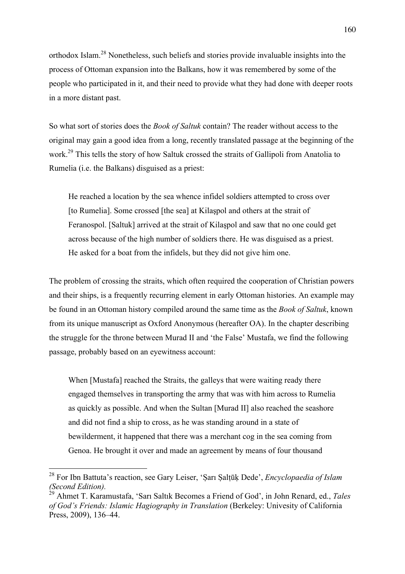orthodox Islam.<sup>28</sup> Nonetheless, such beliefs and stories provide invaluable insights into the process of Ottoman expansion into the Balkans, how it was remembered by some of the people who participated in it, and their need to provide what they had done with deeper roots in a more distant past.

So what sort of stories does the *Book of Saltuk* contain? The reader without access to the original may gain a good idea from a long, recently translated passage at the beginning of the work.<sup>29</sup> This tells the story of how Saltuk crossed the straits of Gallipoli from Anatolia to Rumelia (i.e. the Balkans) disguised as a priest:

He reached a location by the sea whence infidel soldiers attempted to cross over [to Rumelia]. Some crossed [the sea] at Kilaşpol and others at the strait of Feranospol. [Saltuk] arrived at the strait of Kilaşpol and saw that no one could get across because of the high number of soldiers there. He was disguised as a priest. He asked for a boat from the infidels, but they did not give him one.

The problem of crossing the straits, which often required the cooperation of Christian powers and their ships, is a frequently recurring element in early Ottoman histories. An example may be found in an Ottoman history compiled around the same time as the *Book of Saltuk*, known from its unique manuscript as Oxford Anonymous (hereafter OA). In the chapter describing the struggle for the throne between Murad II and 'the False' Mustafa, we find the following passage, probably based on an eyewitness account:

When [Mustafa] reached the Straits, the galleys that were waiting ready there engaged themselves in transporting the army that was with him across to Rumelia as quickly as possible. And when the Sultan [Murad II] also reached the seashore and did not find a ship to cross, as he was standing around in a state of bewilderment, it happened that there was a merchant cog in the sea coming from Genoa. He brought it over and made an agreement by means of four thousand

<sup>28</sup> For Ibn Battuta's reaction, see Gary Leiser, 'Ṣarı Ṣalṭūḳ Dede', *Encyclopaedia of Islam (Second Edition).*

<sup>29</sup> Ahmet T. Karamustafa, 'Sarı Saltık Becomes a Friend of God', in John Renard, ed., *Tales of God's Friends: Islamic Hagiography in Translation* (Berkeley: Univesity of California Press, 2009), 136–44.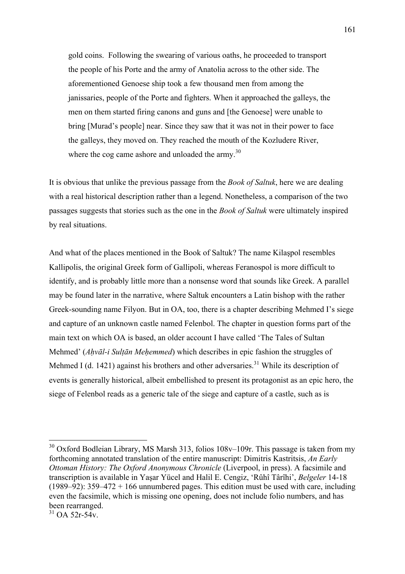gold coins. Following the swearing of various oaths, he proceeded to transport the people of his Porte and the army of Anatolia across to the other side. The aforementioned Genoese ship took a few thousand men from among the janissaries, people of the Porte and fighters. When it approached the galleys, the men on them started firing canons and guns and [the Genoese] were unable to bring [Murad's people] near. Since they saw that it was not in their power to face the galleys, they moved on. They reached the mouth of the Kozludere River, where the cog came ashore and unloaded the army.<sup>30</sup>

It is obvious that unlike the previous passage from the *Book of Saltuk*, here we are dealing with a real historical description rather than a legend. Nonetheless, a comparison of the two passages suggests that stories such as the one in the *Book of Saltuk* were ultimately inspired by real situations.

And what of the places mentioned in the Book of Saltuk? The name Kilaşpol resembles Kallipolis, the original Greek form of Gallipoli, whereas Feranospol is more difficult to identify, and is probably little more than a nonsense word that sounds like Greek. A parallel may be found later in the narrative, where Saltuk encounters a Latin bishop with the rather Greek-sounding name Filyon. But in OA, too, there is a chapter describing Mehmed I's siege and capture of an unknown castle named Felenbol. The chapter in question forms part of the main text on which OA is based, an older account I have called 'The Tales of Sultan Mehmed' (*Aḥvāl-i Sulṭān Meḥemmed*) which describes in epic fashion the struggles of Mehmed I (d. 1421) against his brothers and other adversaries.<sup>31</sup> While its description of events is generally historical, albeit embellished to present its protagonist as an epic hero, the siege of Felenbol reads as a generic tale of the siege and capture of a castle, such as is

 $30$  Oxford Bodleian Library, MS Marsh 313, folios 108v–109r. This passage is taken from my forthcoming annotated translation of the entire manuscript: Dimitris Kastritsis, *An Early Ottoman History: The Oxford Anonymous Chronicle* (Liverpool, in press). A facsimile and transcription is available in Yaşar Yücel and Halil E. Cengiz, 'Rûhî Târîhi', *Belgeler* 14-18 (1989–92): 359–472 + 166 unnumbered pages. This edition must be used with care, including even the facsimile, which is missing one opening, does not include folio numbers, and has been rearranged.

 $31$  OA 52r-54v.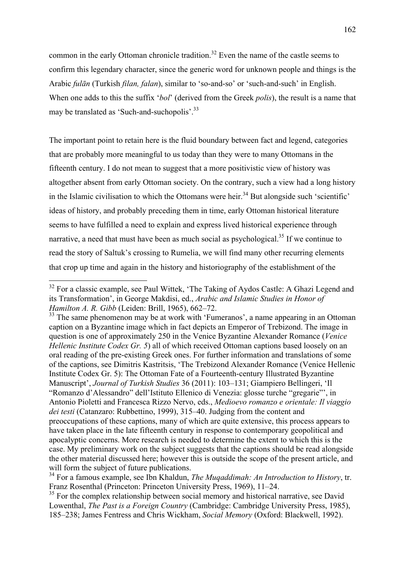common in the early Ottoman chronicle tradition.<sup>32</sup> Even the name of the castle seems to confirm this legendary character, since the generic word for unknown people and things is the Arabic *fulān* (Turkish *filan, falan*), similar to 'so-and-so' or 'such-and-such' in English. When one adds to this the suffix '*bol*' (derived from the Greek *polis*), the result is a name that may be translated as 'Such-and-suchopolis'.33

The important point to retain here is the fluid boundary between fact and legend, categories that are probably more meaningful to us today than they were to many Ottomans in the fifteenth century. I do not mean to suggest that a more positivistic view of history was altogether absent from early Ottoman society. On the contrary, such a view had a long history in the Islamic civilisation to which the Ottomans were heir.<sup>34</sup> But alongside such 'scientific' ideas of history, and probably preceding them in time, early Ottoman historical literature seems to have fulfilled a need to explain and express lived historical experience through narrative, a need that must have been as much social as psychological.<sup>35</sup> If we continue to read the story of Saltuk's crossing to Rumelia, we will find many other recurring elements that crop up time and again in the history and historiography of the establishment of the

<sup>33</sup> The same phenomenon may be at work with 'Fumeranos', a name appearing in an Ottoman caption on a Byzantine image which in fact depicts an Emperor of Trebizond. The image in question is one of approximately 250 in the Venice Byzantine Alexander Romance (*Venice Hellenic Institute Codex Gr. 5*) all of which received Ottoman captions based loosely on an oral reading of the pre-existing Greek ones. For further information and translations of some of the captions, see Dimitris Kastritsis, 'The Trebizond Alexander Romance (Venice Hellenic Institute Codex Gr. 5): The Ottoman Fate of a Fourteenth-century Illustrated Byzantine Manuscript', *Journal of Turkish Studies* 36 (2011): 103–131; Giampiero Bellingeri, 'Il "Romanzo d'Alessandro" dell'Istituto Ellenico di Venezia: glosse turche "gregarie"', in Antonio Pioletti and Francesca Rizzo Nervo, eds., *Medioevo romanzo e orientale: Il viaggio dei testi* (Catanzaro: Rubbettino, 1999), 315–40. Judging from the content and preoccupations of these captions, many of which are quite extensive, this process appears to have taken place in the late fifteenth century in response to contemporary geopolitical and apocalyptic concerns. More research is needed to determine the extent to which this is the case. My preliminary work on the subject suggests that the captions should be read alongside the other material discussed here; however this is outside the scope of the present article, and will form the subject of future publications.

<sup>34</sup> For a famous example, see Ibn Khaldun, *The Muqaddimah: An Introduction to History*, tr. Franz Rosenthal (Princeton: Princeton University Press, 1969), 11–24.

<sup>35</sup> For the complex relationship between social memory and historical narrative, see David Lowenthal, *The Past is a Foreign Country* (Cambridge: Cambridge University Press, 1985), 185–238; James Fentress and Chris Wickham, *Social Memory* (Oxford: Blackwell, 1992).

<sup>&</sup>lt;sup>32</sup> For a classic example, see Paul Wittek, 'The Taking of Aydos Castle: A Ghazi Legend and its Transformation', in George Makdisi, ed., *Arabic and Islamic Studies in Honor of Hamilton A. R. Gibb* (Leiden: Brill, 1965), 662–72.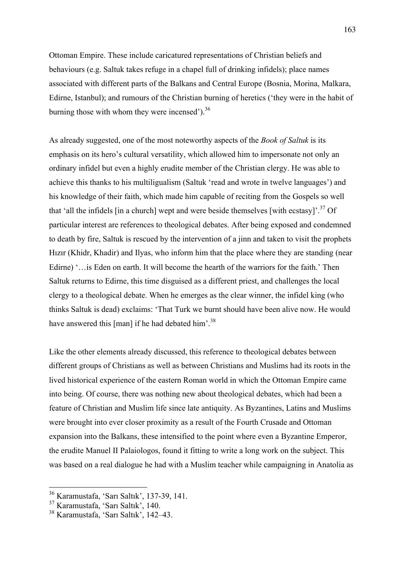Ottoman Empire. These include caricatured representations of Christian beliefs and behaviours (e.g. Saltuk takes refuge in a chapel full of drinking infidels); place names associated with different parts of the Balkans and Central Europe (Bosnia, Morina, Malkara, Edirne, Istanbul); and rumours of the Christian burning of heretics ('they were in the habit of burning those with whom they were incensed'). $36$ 

As already suggested, one of the most noteworthy aspects of the *Book of Saltuk* is its emphasis on its hero's cultural versatility, which allowed him to impersonate not only an ordinary infidel but even a highly erudite member of the Christian clergy. He was able to achieve this thanks to his multiligualism (Saltuk 'read and wrote in twelve languages') and his knowledge of their faith, which made him capable of reciting from the Gospels so well that 'all the infidels [in a church] wept and were beside themselves [with ecstasy]<sup>'.37</sup> Of particular interest are references to theological debates. After being exposed and condemned to death by fire, Saltuk is rescued by the intervention of a jinn and taken to visit the prophets Hızır (Khidr, Khadir) and Ilyas, who inform him that the place where they are standing (near Edirne) '... is Eden on earth. It will become the hearth of the warriors for the faith.' Then Saltuk returns to Edirne, this time disguised as a different priest, and challenges the local clergy to a theological debate. When he emerges as the clear winner, the infidel king (who thinks Saltuk is dead) exclaims: 'That Turk we burnt should have been alive now. He would have answered this [man] if he had debated him'.<sup>38</sup>

Like the other elements already discussed, this reference to theological debates between different groups of Christians as well as between Christians and Muslims had its roots in the lived historical experience of the eastern Roman world in which the Ottoman Empire came into being. Of course, there was nothing new about theological debates, which had been a feature of Christian and Muslim life since late antiquity. As Byzantines, Latins and Muslims were brought into ever closer proximity as a result of the Fourth Crusade and Ottoman expansion into the Balkans, these intensified to the point where even a Byzantine Emperor, the erudite Manuel II Palaiologos, found it fitting to write a long work on the subject. This was based on a real dialogue he had with a Muslim teacher while campaigning in Anatolia as

<sup>36</sup> Karamustafa, 'Sarı Saltık', 137-39, 141.

<sup>37</sup> Karamustafa, 'Sarı Saltık', 140.

<sup>38</sup> Karamustafa, 'Sarı Saltık', 142–43.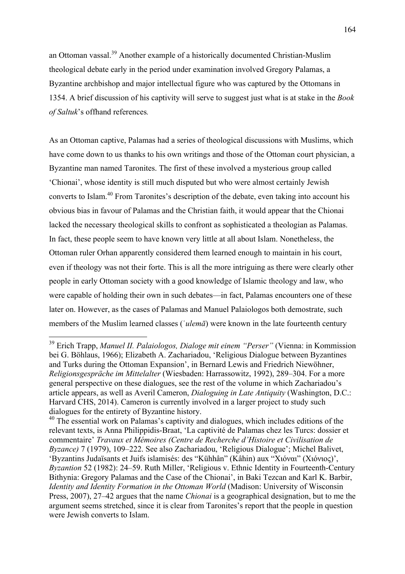an Ottoman vassal.<sup>39</sup> Another example of a historically documented Christian-Muslim theological debate early in the period under examination involved Gregory Palamas, a Byzantine archbishop and major intellectual figure who was captured by the Ottomans in 1354. A brief discussion of his captivity will serve to suggest just what is at stake in the *Book of Saltuk*'s offhand references*.* 

As an Ottoman captive, Palamas had a series of theological discussions with Muslims, which have come down to us thanks to his own writings and those of the Ottoman court physician, a Byzantine man named Taronites. The first of these involved a mysterious group called 'Chionai', whose identity is still much disputed but who were almost certainly Jewish converts to Islam.<sup>40</sup> From Taronites's description of the debate, even taking into account his obvious bias in favour of Palamas and the Christian faith, it would appear that the Chionai lacked the necessary theological skills to confront as sophisticated a theologian as Palamas. In fact, these people seem to have known very little at all about Islam. Nonetheless, the Ottoman ruler Orhan apparently considered them learned enough to maintain in his court, even if theology was not their forte. This is all the more intriguing as there were clearly other people in early Ottoman society with a good knowledge of Islamic theology and law, who were capable of holding their own in such debates—in fact, Palamas encounters one of these later on. However, as the cases of Palamas and Manuel Palaiologos both demostrate, such members of the Muslim learned classes (ʿ*ulemā*) were known in the late fourteenth century

<sup>39</sup> Erich Trapp, *Manuel II. Palaiologos, Dialoge mit einem "Perser"* (Vienna: in Kommission bei G. Böhlaus, 1966); Elizabeth A. Zachariadou, 'Religious Dialogue between Byzantines and Turks during the Ottoman Expansion', in Bernard Lewis and Friedrich Niewöhner, *Religionsgespräche im Mittelalter* (Wiesbaden: Harrassowitz, 1992), 289–304. For a more general perspective on these dialogues, see the rest of the volume in which Zachariadou's article appears, as well as Averil Cameron, *Dialoguing in Late Antiquity* (Washington, D.C.: Harvard CHS, 2014). Cameron is currently involved in a larger project to study such dialogues for the entirety of Byzantine history.

 $40$  The essential work on Palamas's captivity and dialogues, which includes editions of the relevant texts, is Anna Philippidis-Braat, 'La captivité de Palamas chez les Turcs: dossier et commentaire' *Travaux et Mémoires (Centre de Recherche d'Histoire et Civilisation de Byzance)* 7 (1979), 109–222. See also Zachariadou, 'Religious Dialogue'; Michel Balivet, 'Byzantins Judaïsants et Juifs islamisés: des "Kühhân" (Kâhin) aux "Χιόναι" (Χιόνιος)', *Byzantion* 52 (1982): 24–59. Ruth Miller, 'Religious v. Ethnic Identity in Fourteenth-Century Bithynia: Gregory Palamas and the Case of the Chionai', in Baki Tezcan and Karl K. Barbir, *Identity and Identity Formation in the Ottoman World* (Madison: University of Wisconsin Press, 2007), 27–42 argues that the name *Chionai* is a geographical designation, but to me the argument seems stretched, since it is clear from Taronites's report that the people in question were Jewish converts to Islam.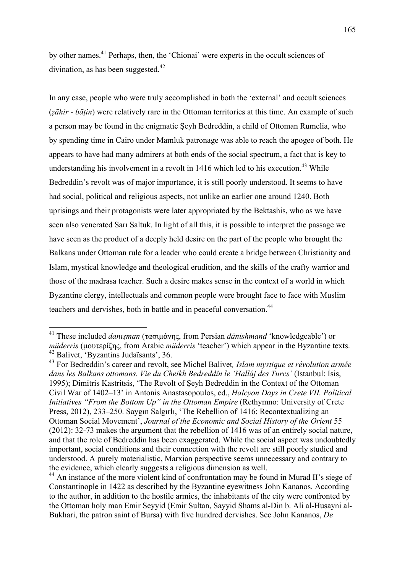by other names.<sup>41</sup> Perhaps, then, the 'Chionai' were experts in the occult sciences of divination, as has been suggested. $42$ 

In any case, people who were truly accomplished in both the 'external' and occult sciences (*ẓāhir - bāṭin*) were relatively rare in the Ottoman territories at this time. An example of such a person may be found in the enigmatic Şeyh Bedreddin, a child of Ottoman Rumelia, who by spending time in Cairo under Mamluk patronage was able to reach the apogee of both. He appears to have had many admirers at both ends of the social spectrum, a fact that is key to understanding his involvement in a revolt in 1416 which led to his execution.<sup>43</sup> While Bedreddin's revolt was of major importance, it is still poorly understood. It seems to have had social, political and religious aspects, not unlike an earlier one around 1240. Both uprisings and their protagonists were later appropriated by the Bektashis, who as we have seen also venerated Sarı Saltuk. In light of all this, it is possible to interpret the passage we have seen as the product of a deeply held desire on the part of the people who brought the Balkans under Ottoman rule for a leader who could create a bridge between Christianity and Islam, mystical knowledge and theological erudition, and the skills of the crafty warrior and those of the madrasa teacher. Such a desire makes sense in the context of a world in which Byzantine clergy, intellectuals and common people were brought face to face with Muslim teachers and dervishes, both in battle and in peaceful conversation.<sup>44</sup>

<sup>41</sup> These included *danışman* (τασιµάνης, from Persian *<sup>d</sup>ānishmand* 'knowledgeable') or *müderris* (µουτερίζης, from Arabic *müderris* 'teacher') which appear in the Byzantine texts. <sup>42</sup> Balivet, 'Byzantins Judaïsants', 36.

<sup>43</sup> For Bedreddin's career and revolt, see Michel Balivet*, Islam mystique et révolution armée dans les Balkans ottomans. Vie du Cheikh Bedreddîn le 'Hallâj des Turcs'* (Istanbul: Isis, 1995); Dimitris Kastritsis, 'The Revolt of Şeyh Bedreddin in the Context of the Ottoman Civil War of 1402–13' in Antonis Anastasopoulos, ed., *Halcyon Days in Crete VII. Political Initiatives "From the Bottom Up" in the Ottoman Empire* (Rethymno: University of Crete Press, 2012), 233–250. Saygın Salgırlı, 'The Rebellion of 1416: Recontextualizing an Ottoman Social Movement', *Journal of the Economic and Social History of the Orient* 55 (2012): 32-73 makes the argument that the rebellion of 1416 was of an entirely social nature, and that the role of Bedreddin has been exaggerated. While the social aspect was undoubtedly important, social conditions and their connection with the revolt are still poorly studied and understood. A purely materialistic, Marxian perspective seems unnecessary and contrary to the evidence, which clearly suggests a religious dimension as well.

<sup>&</sup>lt;sup>44</sup> An instance of the more violent kind of confrontation may be found in Murad II's siege of Constantinople in 1422 as described by the Byzantine eyewitness John Kananos. According to the author, in addition to the hostile armies, the inhabitants of the city were confronted by the Ottoman holy man Emir Seyyid (Emir Sultan, Sayyid Shams al-Din b. Ali al-Husayni al-Bukhari, the patron saint of Bursa) with five hundred dervishes. See John Kananos, *De*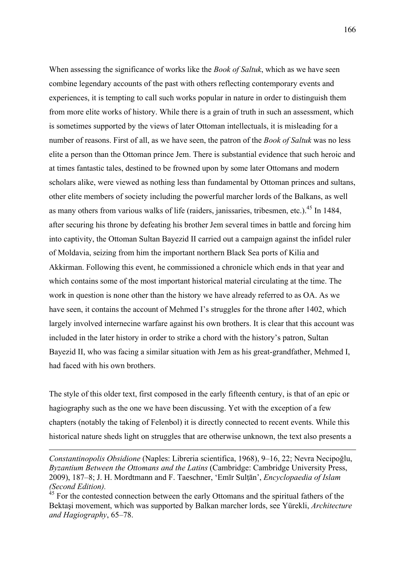When assessing the significance of works like the *Book of Saltuk*, which as we have seen combine legendary accounts of the past with others reflecting contemporary events and experiences, it is tempting to call such works popular in nature in order to distinguish them from more elite works of history. While there is a grain of truth in such an assessment, which is sometimes supported by the views of later Ottoman intellectuals, it is misleading for a number of reasons. First of all, as we have seen, the patron of the *Book of Saltuk* was no less elite a person than the Ottoman prince Jem. There is substantial evidence that such heroic and at times fantastic tales, destined to be frowned upon by some later Ottomans and modern scholars alike, were viewed as nothing less than fundamental by Ottoman princes and sultans, other elite members of society including the powerful marcher lords of the Balkans, as well as many others from various walks of life (raiders, janissaries, tribesmen, etc.).<sup>45</sup> In 1484, after securing his throne by defeating his brother Jem several times in battle and forcing him into captivity, the Ottoman Sultan Bayezid II carried out a campaign against the infidel ruler of Moldavia, seizing from him the important northern Black Sea ports of Kilia and Akkirman. Following this event, he commissioned a chronicle which ends in that year and which contains some of the most important historical material circulating at the time. The work in question is none other than the history we have already referred to as OA. As we have seen, it contains the account of Mehmed I's struggles for the throne after 1402, which largely involved internecine warfare against his own brothers. It is clear that this account was included in the later history in order to strike a chord with the history's patron, Sultan Bayezid II, who was facing a similar situation with Jem as his great-grandfather, Mehmed I, had faced with his own brothers.

The style of this older text, first composed in the early fifteenth century, is that of an epic or hagiography such as the one we have been discussing. Yet with the exception of a few chapters (notably the taking of Felenbol) it is directly connected to recent events. While this historical nature sheds light on struggles that are otherwise unknown, the text also presents a

 $\overline{a}$ 

*Constantinopolis Obsidione* (Naples: Libreria scientifica, 1968), 9–16, 22; Nevra Necipoğlu, *Byzantium Between the Ottomans and the Latins* (Cambridge: Cambridge University Press, 2009), 187–8; J. H. Mordtmann and F. Taeschner, 'Emīr Sulṭān', *Encyclopaedia of Islam (Second Edition).*

<sup>&</sup>lt;sup>45</sup> For the contested connection between the early Ottomans and the spiritual fathers of the Bektaşi movement, which was supported by Balkan marcher lords, see Yürekli, *Architecture and Hagiography*, 65–78.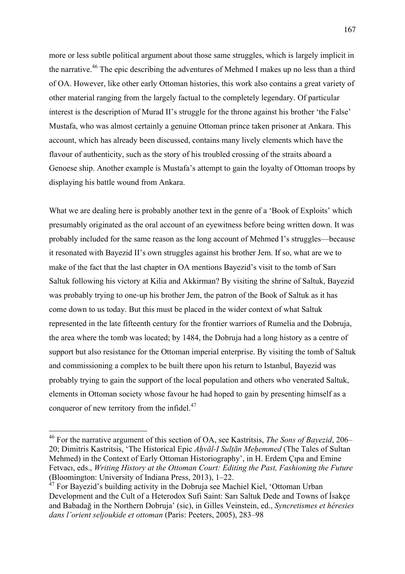more or less subtle political argument about those same struggles, which is largely implicit in the narrative.<sup>46</sup> The epic describing the adventures of Mehmed I makes up no less than a third of OA. However, like other early Ottoman histories, this work also contains a great variety of other material ranging from the largely factual to the completely legendary. Of particular interest is the description of Murad II's struggle for the throne against his brother 'the False' Mustafa, who was almost certainly a genuine Ottoman prince taken prisoner at Ankara. This account, which has already been discussed, contains many lively elements which have the flavour of authenticity, such as the story of his troubled crossing of the straits aboard a Genoese ship. Another example is Mustafa's attempt to gain the loyalty of Ottoman troops by displaying his battle wound from Ankara.

What we are dealing here is probably another text in the genre of a 'Book of Exploits' which presumably originated as the oral account of an eyewitness before being written down. It was probably included for the same reason as the long account of Mehmed I's struggles—because it resonated with Bayezid II's own struggles against his brother Jem. If so, what are we to make of the fact that the last chapter in OA mentions Bayezid's visit to the tomb of Sarı Saltuk following his victory at Kilia and Akkirman? By visiting the shrine of Saltuk, Bayezid was probably trying to one-up his brother Jem, the patron of the Book of Saltuk as it has come down to us today. But this must be placed in the wider context of what Saltuk represented in the late fifteenth century for the frontier warriors of Rumelia and the Dobruja, the area where the tomb was located; by 1484, the Dobruja had a long history as a centre of support but also resistance for the Ottoman imperial enterprise. By visiting the tomb of Saltuk and commissioning a complex to be built there upon his return to Istanbul, Bayezid was probably trying to gain the support of the local population and others who venerated Saltuk, elements in Ottoman society whose favour he had hoped to gain by presenting himself as a conqueror of new territory from the infidel. $47$ 

<sup>46</sup> For the narrative argument of this section of OA, see Kastritsis, *The Sons of Bayezid*, 206– 20; Dimitris Kastritsis, 'The Historical Epic *Aḥvāl-I Sulṭān Meḥemmed* (The Tales of Sultan Mehmed) in the Context of Early Ottoman Historiography', in H. Erdem Çıpa and Emine Fetvacı, eds., *Writing History at the Ottoman Court: Editing the Past, Fashioning the Future*  (Bloomington: University of Indiana Press, 2013), 1–22.

<sup>&</sup>lt;sup>47</sup> For Bayezid's building activity in the Dobruja see Machiel Kiel, 'Ottoman Urban Development and the Cult of a Heterodox Sufi Saint: Sarı Saltuk Dede and Towns of İsakçe and Babadağ in the Northern Dobruja' (sic), in Gilles Veinstein, ed., *Syncretismes et héresies dans l'orient seljoukide et ottoman* (Paris: Peeters, 2005), 283–98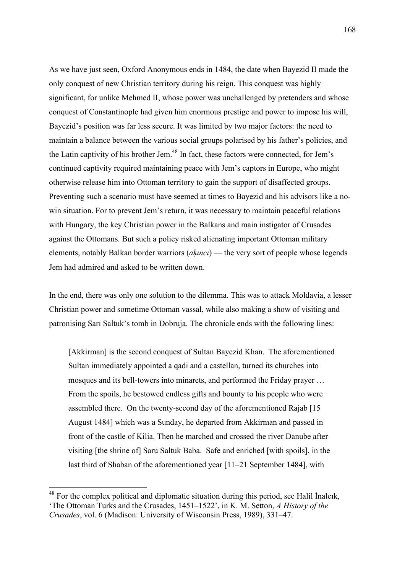As we have just seen, Oxford Anonymous ends in 1484, the date when Bayezid II made the only conquest of new Christian territory during his reign. This conquest was highly significant, for unlike Mehmed II, whose power was unchallenged by pretenders and whose conquest of Constantinople had given him enormous prestige and power to impose his will, Bayezid's position was far less secure. It was limited by two major factors: the need to maintain a balance between the various social groups polarised by his father's policies, and the Latin captivity of his brother Jem.<sup>48</sup> In fact, these factors were connected, for Jem's continued captivity required maintaining peace with Jem's captors in Europe, who might otherwise release him into Ottoman territory to gain the support of disaffected groups. Preventing such a scenario must have seemed at times to Bayezid and his advisors like a nowin situation. For to prevent Jem's return, it was necessary to maintain peaceful relations with Hungary, the key Christian power in the Balkans and main instigator of Crusades against the Ottomans. But such a policy risked alienating important Ottoman military elements, notably Balkan border warriors (*aḳıncı*) — the very sort of people whose legends Jem had admired and asked to be written down.

In the end, there was only one solution to the dilemma. This was to attack Moldavia, a lesser Christian power and sometime Ottoman vassal, while also making a show of visiting and patronising Sarı Saltuk's tomb in Dobruja. The chronicle ends with the following lines:

[Akkirman] is the second conquest of Sultan Bayezid Khan. The aforementioned Sultan immediately appointed a qadi and a castellan, turned its churches into mosques and its bell-towers into minarets, and performed the Friday prayer … From the spoils, he bestowed endless gifts and bounty to his people who were assembled there. On the twenty-second day of the aforementioned Rajab [15 August 1484] which was a Sunday, he departed from Akkirman and passed in front of the castle of Kilia. Then he marched and crossed the river Danube after visiting [the shrine of] Saru Saltuk Baba. Safe and enriched [with spoils], in the last third of Shaban of the aforementioned year [11–21 September 1484], with

<sup>&</sup>lt;sup>48</sup> For the complex political and diplomatic situation during this period, see Halil Inalcık, 'The Ottoman Turks and the Crusades, 1451–1522', in K. M. Setton, *A History of the Crusades*, vol. 6 (Madison: University of Wisconsin Press, 1989), 331–47.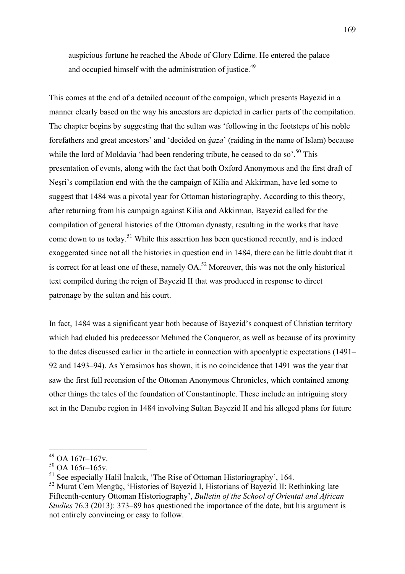auspicious fortune he reached the Abode of Glory Edirne. He entered the palace and occupied himself with the administration of justice.<sup>49</sup>

This comes at the end of a detailed account of the campaign, which presents Bayezid in a manner clearly based on the way his ancestors are depicted in earlier parts of the compilation. The chapter begins by suggesting that the sultan was 'following in the footsteps of his noble forefathers and great ancestors' and 'decided on *ġaza*' (raiding in the name of Islam) because while the lord of Moldavia 'had been rendering tribute, he ceased to do so'.<sup>50</sup> This presentation of events, along with the fact that both Oxford Anonymous and the first draft of Neşri's compilation end with the the campaign of Kilia and Akkirman, have led some to suggest that 1484 was a pivotal year for Ottoman historiography. According to this theory, after returning from his campaign against Kilia and Akkirman, Bayezid called for the compilation of general histories of the Ottoman dynasty, resulting in the works that have come down to us today.51 While this assertion has been questioned recently, and is indeed exaggerated since not all the histories in question end in 1484, there can be little doubt that it is correct for at least one of these, namely  $OA<sup>52</sup>$  Moreover, this was not the only historical text compiled during the reign of Bayezid II that was produced in response to direct patronage by the sultan and his court.

In fact, 1484 was a significant year both because of Bayezid's conquest of Christian territory which had eluded his predecessor Mehmed the Conqueror, as well as because of its proximity to the dates discussed earlier in the article in connection with apocalyptic expectations (1491– 92 and 1493–94). As Yerasimos has shown, it is no coincidence that 1491 was the year that saw the first full recension of the Ottoman Anonymous Chronicles, which contained among other things the tales of the foundation of Constantinople. These include an intriguing story set in the Danube region in 1484 involving Sultan Bayezid II and his alleged plans for future

<sup>49</sup> OA 167r–167v.

 $50$  OA 165r–165v.

<sup>&</sup>lt;sup>51</sup> See especially Halil Inalcik, 'The Rise of Ottoman Historiography', 164.

<sup>&</sup>lt;sup>52</sup> Murat Cem Mengüç, 'Histories of Bayezid I, Historians of Bayezid II: Rethinking late Fifteenth-century Ottoman Historiography', *Bulletin of the School of Oriental and African Studies* 76.3 (2013): 373–89 has questioned the importance of the date, but his argument is not entirely convincing or easy to follow.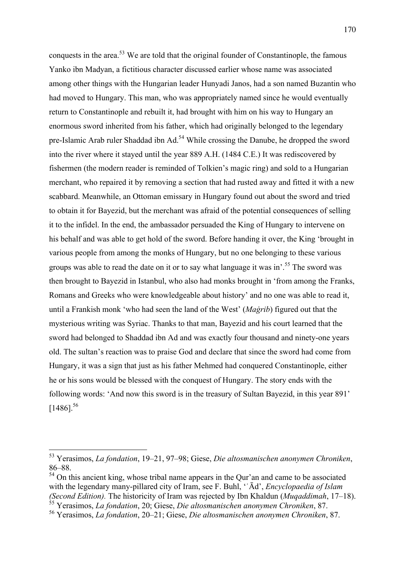conquests in the area.53 We are told that the original founder of Constantinople, the famous Yanko ibn Madyan, a fictitious character discussed earlier whose name was associated among other things with the Hungarian leader Hunyadi Janos, had a son named Buzantin who had moved to Hungary. This man, who was appropriately named since he would eventually return to Constantinople and rebuilt it, had brought with him on his way to Hungary an enormous sword inherited from his father, which had originally belonged to the legendary pre-Islamic Arab ruler Shaddad ibn Ad.<sup>54</sup> While crossing the Danube, he dropped the sword into the river where it stayed until the year 889 A.H. (1484 C.E.) It was rediscovered by fishermen (the modern reader is reminded of Tolkien's magic ring) and sold to a Hungarian merchant, who repaired it by removing a section that had rusted away and fitted it with a new scabbard. Meanwhile, an Ottoman emissary in Hungary found out about the sword and tried to obtain it for Bayezid, but the merchant was afraid of the potential consequences of selling it to the infidel. In the end, the ambassador persuaded the King of Hungary to intervene on his behalf and was able to get hold of the sword. Before handing it over, the King 'brought in various people from among the monks of Hungary, but no one belonging to these various groups was able to read the date on it or to say what language it was in'.<sup>55</sup> The sword was then brought to Bayezid in Istanbul, who also had monks brought in 'from among the Franks, Romans and Greeks who were knowledgeable about history' and no one was able to read it, until a Frankish monk 'who had seen the land of the West' (*Maġrib*) figured out that the mysterious writing was Syriac. Thanks to that man, Bayezid and his court learned that the sword had belonged to Shaddad ibn Ad and was exactly four thousand and ninety-one years old. The sultan's reaction was to praise God and declare that since the sword had come from Hungary, it was a sign that just as his father Mehmed had conquered Constantinople, either he or his sons would be blessed with the conquest of Hungary. The story ends with the following words: 'And now this sword is in the treasury of Sultan Bayezid, in this year 891'  $[1486]^{56}$ 

<sup>53</sup> Yerasimos, *La fondation*, 19–21, 97–98; Giese, *Die altosmanischen anonymen Chroniken*, 86–88.

 $54$  On this ancient king, whose tribal name appears in the Our'an and came to be associated with the legendary many-pillared city of Iram, see F. Buhl, 'ʿĀd', *Encyclopaedia of Islam (Second Edition).* The historicity of Iram was rejected by Ibn Khaldun (*Muqaddimah*, 17–18). <sup>55</sup> Yerasimos, *La fondation*, 20; Giese, *Die altosmanischen anonymen Chroniken*, 87.

<sup>56</sup> Yerasimos, *La fondation*, 20–21; Giese, *Die altosmanischen anonymen Chroniken*, 87.